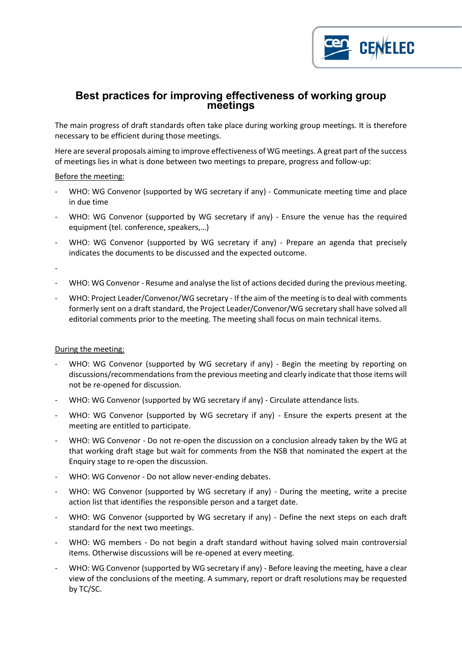

# **Best practices for improving effectiveness of working group meetings**

The main progress of draft standards often take place during working group meetings. It is therefore necessary to be efficient during those meetings.

Here are several proposals aiming to improve effectiveness of WG meetings. A great part of the success of meetings lies in what is done between two meetings to prepare, progress and follow-up:

## Before the meeting:

- WHO: WG Convenor (supported by WG secretary if any) Communicate meeting time and place in due time
- WHO: WG Convenor (supported by WG secretary if any) Ensure the venue has the required equipment (tel. conference, speakers,…)
- WHO: WG Convenor (supported by WG secretary if any) Prepare an agenda that precisely indicates the documents to be discussed and the expected outcome.

-

- WHO: WG Convenor Resume and analyse the list of actions decided during the previous meeting.
- WHO: Project Leader/Convenor/WG secretary If the aim of the meeting is to deal with comments formerly sent on a draft standard, the Project Leader/Convenor/WG secretary shall have solved all editorial comments prior to the meeting. The meeting shall focus on main technical items.

## During the meeting:

- WHO: WG Convenor (supported by WG secretary if any) Begin the meeting by reporting on discussions/recommendations from the previous meeting and clearly indicate that those items will not be re-opened for discussion.
- WHO: WG Convenor (supported by WG secretary if any) Circulate attendance lists.
- WHO: WG Convenor (supported by WG secretary if any) Ensure the experts present at the meeting are entitled to participate.
- WHO: WG Convenor Do not re-open the discussion on a conclusion already taken by the WG at that working draft stage but wait for comments from the NSB that nominated the expert at the Enquiry stage to re-open the discussion.
- WHO: WG Convenor Do not allow never-ending debates.
- WHO: WG Convenor (supported by WG secretary if any) During the meeting, write a precise action list that identifies the responsible person and a target date.
- WHO: WG Convenor (supported by WG secretary if any) Define the next steps on each draft standard for the next two meetings.
- WHO: WG members Do not begin a draft standard without having solved main controversial items. Otherwise discussions will be re-opened at every meeting.
- WHO: WG Convenor (supported by WG secretary if any) Before leaving the meeting, have a clear view of the conclusions of the meeting. A summary, report or draft resolutions may be requested by TC/SC.